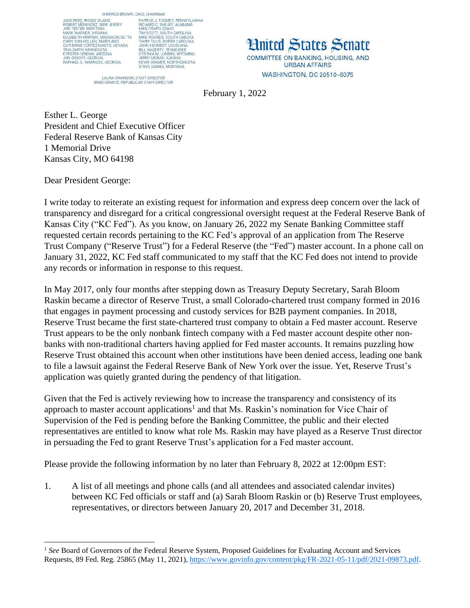SHERROD BROWN, OHIO, CHAIRMAN SHEMBOU SHAWN SHEMBOU BHOWN,<br>ROBERT MËNENDEZ, NEW JERSEY<br>JON TESTER, MONTANA<br>MARK WARNER, VIRGINIA<br>ELIZABETH WARREN, MASSACHUSETTS<br>CATHERINE CORTEZ MASTO, NEVADA<br>TAR SMITH, MINIESCTA,<br>NAS MITH, MINIESCTA<br>KYRSTEN SINEMA **THE SINE MANUSCRIPS**<br>JON OSSOFF, GEORGIA<br>RAPHAEL G. WARNOCK, GEORGIA

PHO, CHAHMAN<br>PIC, CHAHMAN<br>RICHARD C. SHELBY, ALABAMA<br>MIKE CRAPO, IDAHO<br>TIM SCOTT, SOUTH CAROLINA<br>TIM SCOTT, SOUTH CAROLINA<br>THOM TILLIS, NORTH CAROLINA<br>JOHN KENNEDY, LOUISIANA<br>JOHN KENNEDY, LOUISIANA<br>CYNTHIA M. LUMMIS, WYOM

LAURA SWANSON, STAFF DIRECTOR<br>BRAD GRANTZ, REPUBLICAN STAFF DIRECTOR

**Hnited States Senate** COMMITTEE ON BANKING, HOUSING, AND **URBAN AFFAIRS** WASHINGTON, DC 20510-6075

February 1, 2022

Esther L. George President and Chief Executive Officer Federal Reserve Bank of Kansas City 1 Memorial Drive Kansas City, MO 64198

Dear President George:

 $\overline{a}$ 

I write today to reiterate an existing request for information and express deep concern over the lack of transparency and disregard for a critical congressional oversight request at the Federal Reserve Bank of Kansas City ("KC Fed"). As you know, on January 26, 2022 my Senate Banking Committee staff requested certain records pertaining to the KC Fed's approval of an application from The Reserve Trust Company ("Reserve Trust") for a Federal Reserve (the "Fed") master account. In a phone call on January 31, 2022, KC Fed staff communicated to my staff that the KC Fed does not intend to provide any records or information in response to this request.

In May 2017, only four months after stepping down as Treasury Deputy Secretary, Sarah Bloom Raskin became a director of Reserve Trust, a small Colorado-chartered trust company formed in 2016 that engages in payment processing and custody services for B2B payment companies. In 2018, Reserve Trust became the first state-chartered trust company to obtain a Fed master account. Reserve Trust appears to be the only nonbank fintech company with a Fed master account despite other nonbanks with non-traditional charters having applied for Fed master accounts. It remains puzzling how Reserve Trust obtained this account when other institutions have been denied access, leading one bank to file a lawsuit against the Federal Reserve Bank of New York over the issue. Yet, Reserve Trust's application was quietly granted during the pendency of that litigation.

Given that the Fed is actively reviewing how to increase the transparency and consistency of its approach to master account applications<sup>1</sup> and that Ms. Raskin's nomination for Vice Chair of Supervision of the Fed is pending before the Banking Committee, the public and their elected representatives are entitled to know what role Ms. Raskin may have played as a Reserve Trust director in persuading the Fed to grant Reserve Trust's application for a Fed master account.

Please provide the following information by no later than February 8, 2022 at 12:00pm EST:

1. A list of all meetings and phone calls (and all attendees and associated calendar invites) between KC Fed officials or staff and (a) Sarah Bloom Raskin or (b) Reserve Trust employees, representatives, or directors between January 20, 2017 and December 31, 2018.

<sup>1</sup> *See* Board of Governors of the Federal Reserve System, Proposed Guidelines for Evaluating Account and Services Requests, 89 Fed. Reg. 25865 (May 11, 2021), [https://www.govinfo.gov/content/pkg/FR-2021-05-11/pdf/2021-09873.pdf.](https://www.govinfo.gov/content/pkg/FR-2021-05-11/pdf/2021-09873.pdf)